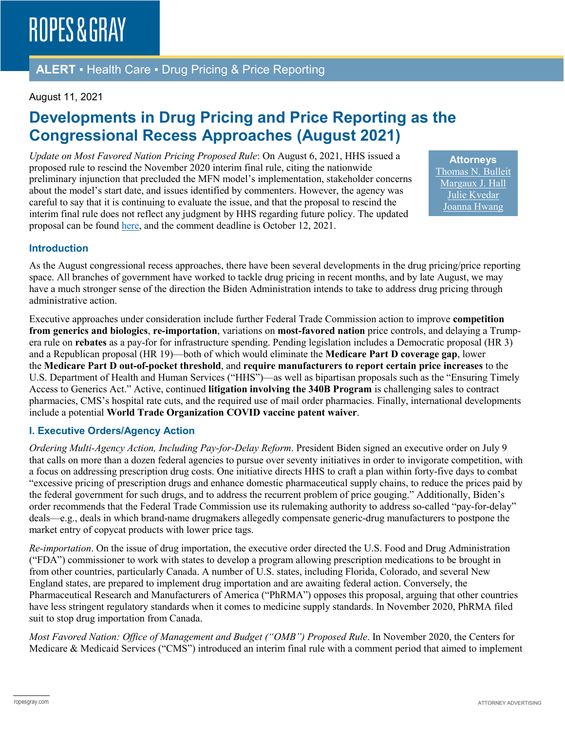### **ALERT** ▪ Health Care ▪ Drug Pricing & Price Reporting

#### August 11, 2021

# **Developments in Drug Pricing and Price Reporting as the Congressional Recess Approaches (August 2021)**

*Update on Most Favored Nation Pricing Proposed Rule*: On August 6, 2021, HHS issued a proposed rule to rescind the November 2020 interim final rule, citing the nationwide preliminary injunction that precluded the MFN model's implementation, stakeholder concerns about the model's start date, and issues identified by commenters. However, the agency was careful to say that it is continuing to evaluate the issue, and that the proposal to rescind the interim final rule does not reflect any judgment by HHS regarding future policy. The updated proposal can be found [here,](https://www.federalregister.gov/documents/2021/08/10/2021-16886/most-favored-nation-mfn-model) and the comment deadline is October 12, 2021.

**Attorneys** [Thomas N. Bulleit](https://www.ropesgray.com/en/biographies/b/Thomas-Bulleit) [Margaux J. Hall](https://www.ropesgray.com/en/biographies/h/margaux-hall) [Julie Kvedar](https://www.ropesgray.com/en/biographies/k/Julie-Kvedar) [Joanna Hwang](https://www.ropesgray.com/en/biographies/h/joanna-hwang)

#### **Introduction**

As the August congressional recess approaches, there have been several developments in the drug pricing/price reporting space. All branches of government have worked to tackle drug pricing in recent months, and by late August, we may have a much stronger sense of the direction the Biden Administration intends to take to address drug pricing through administrative action.

Executive approaches under consideration include further Federal Trade Commission action to improve **competition from generics and biologics**, **re-importation**, variations on **most-favored nation** price controls, and delaying a Trumpera rule on **rebates** as a pay-for for infrastructure spending. Pending legislation includes a Democratic proposal (HR 3) and a Republican proposal (HR 19)—both of which would eliminate the **Medicare Part D coverage gap**, lower the **Medicare Part D out-of-pocket threshold**, and **require manufacturers to report certain price increases** to the U.S. Department of Health and Human Services ("HHS")—as well as bipartisan proposals such as the "Ensuring Timely Access to Generics Act." Active, continued **litigation involving the 340B Program** is challenging sales to contract pharmacies, CMS's hospital rate cuts, and the required use of mail order pharmacies. Finally, international developments include a potential **World Trade Organization COVID vaccine patent waiver**.

#### **I. Executive Orders/Agency Action**

*Ordering Multi-Agency Action, Including Pay-for-Delay Reform*. President Biden signed an executive order on July 9 that calls on more than a dozen federal agencies to pursue over seventy initiatives in order to invigorate competition, with a focus on addressing prescription drug costs. One initiative directs HHS to craft a plan within forty-five days to combat "excessive pricing of prescription drugs and enhance domestic pharmaceutical supply chains, to reduce the prices paid by the federal government for such drugs, and to address the recurrent problem of price gouging." Additionally, Biden's order recommends that the Federal Trade Commission use its rulemaking authority to address so-called "pay-for-delay" deals—e.g., deals in which brand-name drugmakers allegedly compensate generic-drug manufacturers to postpone the market entry of copycat products with lower price tags.

*Re-importation*. On the issue of drug importation, the executive order directed the U.S. Food and Drug Administration ("FDA") commissioner to work with states to develop a program allowing prescription medications to be brought in from other countries, particularly Canada. A number of U.S. states, including Florida, Colorado, and several New England states, are prepared to implement drug importation and are awaiting federal action. Conversely, the Pharmaceutical Research and Manufacturers of America ("PhRMA") opposes this proposal, arguing that other countries have less stringent regulatory standards when it comes to medicine supply standards. In November 2020, PhRMA filed suit to stop drug importation from Canada.

*Most Favored Nation: Office of Management and Budget ("OMB") Proposed Rule*. In November 2020, the Centers for Medicare & Medicaid Services ("CMS") introduced an interim final rule with a comment period that aimed to implement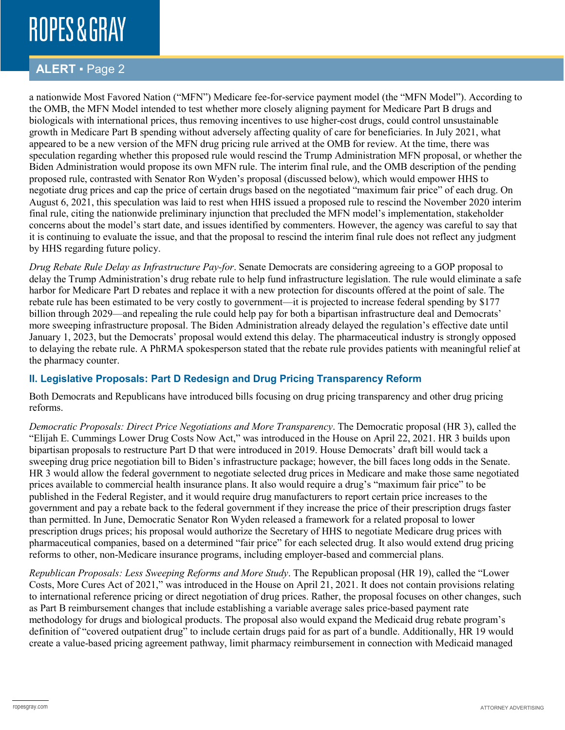# **ROPES & GRAY**

### **ALERT** ▪ Page 2

a nationwide Most Favored Nation ("MFN") Medicare fee-for-service payment model (the "MFN Model"). According to the OMB, the MFN Model intended to test whether more closely aligning payment for Medicare Part B drugs and biologicals with international prices, thus removing incentives to use higher-cost drugs, could control unsustainable growth in Medicare Part B spending without adversely affecting quality of care for beneficiaries. In July 2021, what appeared to be a new version of the MFN drug pricing rule arrived at the OMB for review. At the time, there was speculation regarding whether this proposed rule would rescind the Trump Administration MFN proposal, or whether the Biden Administration would propose its own MFN rule. The interim final rule, and the OMB description of the pending proposed rule, contrasted with Senator Ron Wyden's proposal (discussed below), which would empower HHS to negotiate drug prices and cap the price of certain drugs based on the negotiated "maximum fair price" of each drug. On August 6, 2021, this speculation was laid to rest when HHS issued a proposed rule to rescind the November 2020 interim final rule, citing the nationwide preliminary injunction that precluded the MFN model's implementation, stakeholder concerns about the model's start date, and issues identified by commenters. However, the agency was careful to say that it is continuing to evaluate the issue, and that the proposal to rescind the interim final rule does not reflect any judgment by HHS regarding future policy.

*Drug Rebate Rule Delay as Infrastructure Pay-for*. Senate Democrats are considering agreeing to a GOP proposal to delay the Trump Administration's drug rebate rule to help fund infrastructure legislation. The rule would eliminate a safe harbor for Medicare Part D rebates and replace it with a new protection for discounts offered at the point of sale. The rebate rule has been estimated to be very costly to government—it is projected to increase federal spending by \$177 billion through 2029—and repealing the rule could help pay for both a bipartisan infrastructure deal and Democrats' more sweeping infrastructure proposal. The Biden Administration already delayed the regulation's effective date until January 1, 2023, but the Democrats' proposal would extend this delay. The pharmaceutical industry is strongly opposed to delaying the rebate rule. A PhRMA spokesperson stated that the rebate rule provides patients with meaningful relief at the pharmacy counter.

#### **II. Legislative Proposals: Part D Redesign and Drug Pricing Transparency Reform**

Both Democrats and Republicans have introduced bills focusing on drug pricing transparency and other drug pricing reforms.

*Democratic Proposals: Direct Price Negotiations and More Transparency*. The Democratic proposal (HR 3), called the "Elijah E. Cummings Lower Drug Costs Now Act," was introduced in the House on April 22, 2021. HR 3 builds upon bipartisan proposals to restructure Part D that were introduced in 2019. House Democrats' draft bill would tack a sweeping drug price negotiation bill to Biden's infrastructure package; however, the bill faces long odds in the Senate. HR 3 would allow the federal government to negotiate selected drug prices in Medicare and make those same negotiated prices available to commercial health insurance plans. It also would require a drug's "maximum fair price" to be published in the Federal Register, and it would require drug manufacturers to report certain price increases to the government and pay a rebate back to the federal government if they increase the price of their prescription drugs faster than permitted. In June, Democratic Senator Ron Wyden released a framework for a related proposal to lower prescription drugs prices; his proposal would authorize the Secretary of HHS to negotiate Medicare drug prices with pharmaceutical companies, based on a determined "fair price" for each selected drug. It also would extend drug pricing reforms to other, non-Medicare insurance programs, including employer-based and commercial plans.

*Republican Proposals: Less Sweeping Reforms and More Study*. The Republican proposal (HR 19), called the "Lower Costs, More Cures Act of 2021," was introduced in the House on April 21, 2021. It does not contain provisions relating to international reference pricing or direct negotiation of drug prices. Rather, the proposal focuses on other changes, such as Part B reimbursement changes that include establishing a variable average sales price-based payment rate methodology for drugs and biological products. The proposal also would expand the Medicaid drug rebate program's definition of "covered outpatient drug" to include certain drugs paid for as part of a bundle. Additionally, HR 19 would create a value-based pricing agreement pathway, limit pharmacy reimbursement in connection with Medicaid managed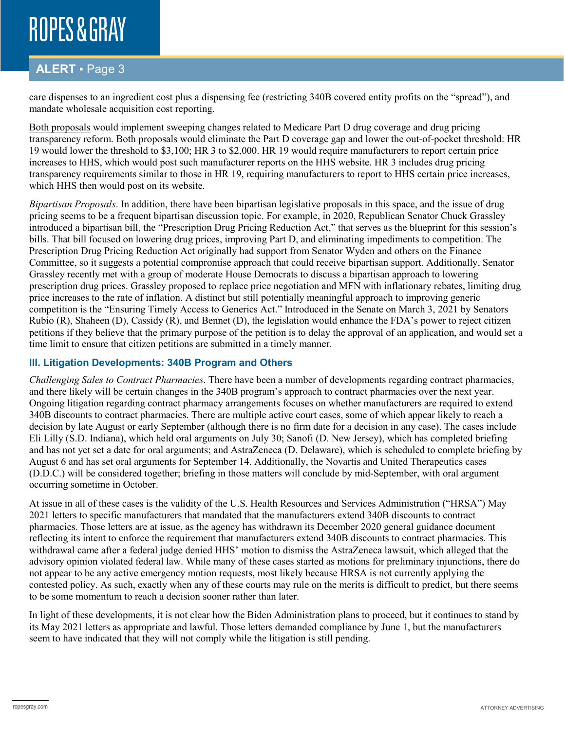# **ROPES & GRAY**

## **ALERT** ▪ Page 3

care dispenses to an ingredient cost plus a dispensing fee (restricting 340B covered entity profits on the "spread"), and mandate wholesale acquisition cost reporting.

Both proposals would implement sweeping changes related to Medicare Part D drug coverage and drug pricing transparency reform. Both proposals would eliminate the Part D coverage gap and lower the out-of-pocket threshold: HR 19 would lower the threshold to \$3,100; HR 3 to \$2,000. HR 19 would require manufacturers to report certain price increases to HHS, which would post such manufacturer reports on the HHS website. HR 3 includes drug pricing transparency requirements similar to those in HR 19, requiring manufacturers to report to HHS certain price increases, which HHS then would post on its website.

*Bipartisan Proposals*. In addition, there have been bipartisan legislative proposals in this space, and the issue of drug pricing seems to be a frequent bipartisan discussion topic. For example, in 2020, Republican Senator Chuck Grassley introduced a bipartisan bill, the "Prescription Drug Pricing Reduction Act," that serves as the blueprint for this session's bills. That bill focused on lowering drug prices, improving Part D, and eliminating impediments to competition. The Prescription Drug Pricing Reduction Act originally had support from Senator Wyden and others on the Finance Committee, so it suggests a potential compromise approach that could receive bipartisan support. Additionally, Senator Grassley recently met with a group of moderate House Democrats to discuss a bipartisan approach to lowering prescription drug prices. Grassley proposed to replace price negotiation and MFN with inflationary rebates, limiting drug price increases to the rate of inflation. A distinct but still potentially meaningful approach to improving generic competition is the "Ensuring Timely Access to Generics Act." Introduced in the Senate on March 3, 2021 by Senators Rubio (R), Shaheen (D), Cassidy (R), and Bennet (D), the legislation would enhance the FDA's power to reject citizen petitions if they believe that the primary purpose of the petition is to delay the approval of an application, and would set a time limit to ensure that citizen petitions are submitted in a timely manner.

#### **III. Litigation Developments: 340B Program and Others**

*Challenging Sales to Contract Pharmacies*. There have been a number of developments regarding contract pharmacies, and there likely will be certain changes in the 340B program's approach to contract pharmacies over the next year. Ongoing litigation regarding contract pharmacy arrangements focuses on whether manufacturers are required to extend 340B discounts to contract pharmacies. There are multiple active court cases, some of which appear likely to reach a decision by late August or early September (although there is no firm date for a decision in any case). The cases include Eli Lilly (S.D. Indiana), which held oral arguments on July 30; Sanofi (D. New Jersey), which has completed briefing and has not yet set a date for oral arguments; and AstraZeneca (D. Delaware), which is scheduled to complete briefing by August 6 and has set oral arguments for September 14. Additionally, the Novartis and United Therapeutics cases (D.D.C.) will be considered together; briefing in those matters will conclude by mid-September, with oral argument occurring sometime in October.

At issue in all of these cases is the validity of the U.S. Health Resources and Services Administration ("HRSA") May 2021 letters to specific manufacturers that mandated that the manufacturers extend 340B discounts to contract pharmacies. Those letters are at issue, as the agency has withdrawn its December 2020 general guidance document reflecting its intent to enforce the requirement that manufacturers extend 340B discounts to contract pharmacies. This withdrawal came after a federal judge denied HHS' motion to dismiss the AstraZeneca lawsuit, which alleged that the advisory opinion violated federal law. While many of these cases started as motions for preliminary injunctions, there do not appear to be any active emergency motion requests, most likely because HRSA is not currently applying the contested policy. As such, exactly when any of these courts may rule on the merits is difficult to predict, but there seems to be some momentum to reach a decision sooner rather than later.

In light of these developments, it is not clear how the Biden Administration plans to proceed, but it continues to stand by its May 2021 letters as appropriate and lawful. Those letters demanded compliance by June 1, but the manufacturers seem to have indicated that they will not comply while the litigation is still pending.